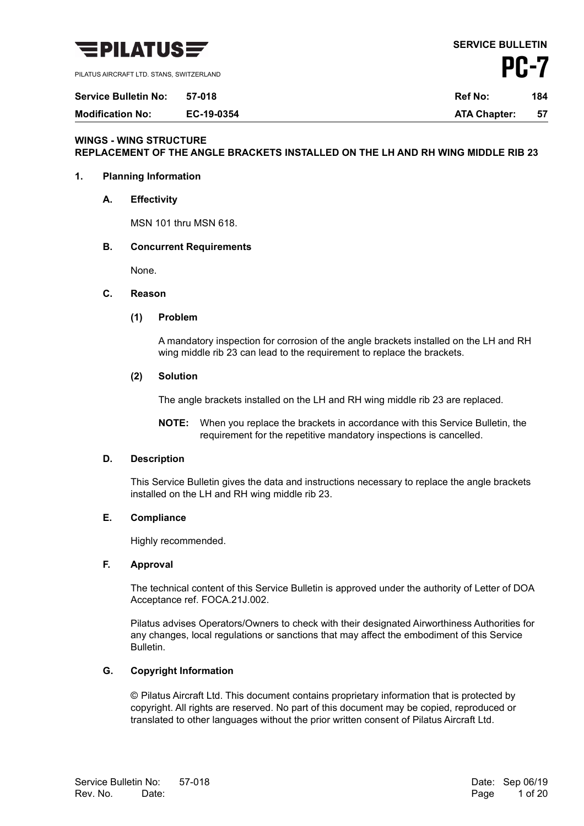

PILATUS AIRCRAFT LTD. STANS, SWITZERLAND

| <b>Service Bulletin No:</b> | 57-018     | <b>Ref No:</b>      | 184 |
|-----------------------------|------------|---------------------|-----|
| <b>Modification No:</b>     | EC-19-0354 | <b>ATA Chapter:</b> | 57  |

#### **WINGS - WING STRUCTURE REPLACEMENT OF THE ANGLE BRACKETS INSTALLED ON THE LH AND RH WING MIDDLE RIB 23**

#### **1. Planning Information**

**A. Effectivity**

MSN 101 thru MSN 618.

#### **B. Concurrent Requirements**

None.

#### **C. Reason**

#### **(1) Problem**

A mandatory inspection for corrosion of the angle brackets installed on the LH and RH wing middle rib 23 can lead to the requirement to replace the brackets.

#### **(2) Solution**

The angle brackets installed on the LH and RH wing middle rib 23 are replaced.

**NOTE:** When you replace the brackets in accordance with this Service Bulletin, the requirement for the repetitive mandatory inspections is cancelled.

#### **D. Description**

This Service Bulletin gives the data and instructions necessary to replace the angle brackets installed on the LH and RH wing middle rib 23.

#### **E. Compliance**

Highly recommended.

#### **F. Approval**

The technical content of this Service Bulletin is approved under the authority of Letter of DOA Acceptance ref. FOCA.21J.002.

Pilatus advises Operators/Owners to check with their designated Airworthiness Authorities for any changes, local regulations or sanctions that may affect the embodiment of this Service Bulletin.

#### **G. Copyright Information**

© Pilatus Aircraft Ltd. This document contains proprietary information that is protected by copyright. All rights are reserved. No part of this document may be copied, reproduced or translated to other languages without the prior written consent of Pilatus Aircraft Ltd.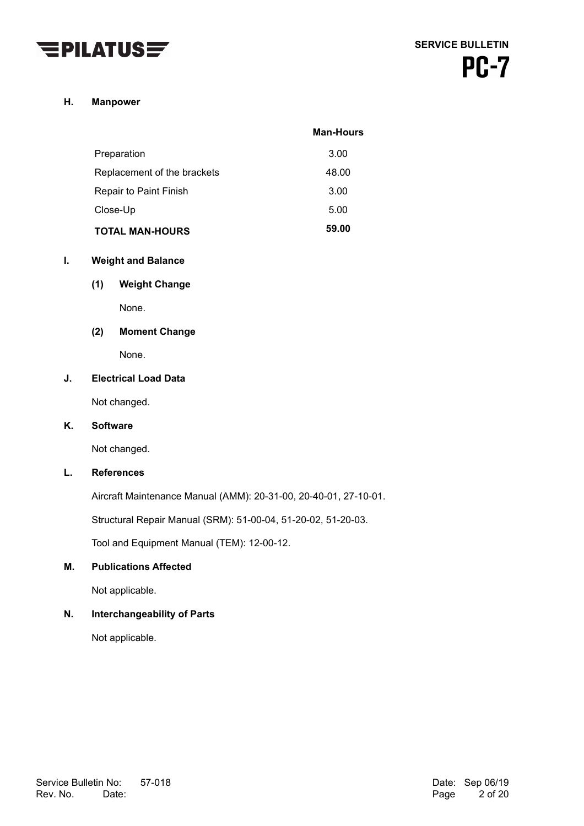

#### **H. Manpower**

|                             | <b>Man-Hours</b> |
|-----------------------------|------------------|
| Preparation                 | 3.00             |
| Replacement of the brackets | 48.00            |
| Repair to Paint Finish      | 3.00             |
| Close-Up                    | 5.00             |
| <b>TOTAL MAN-HOURS</b>      | 59.00            |

#### **I. Weight and Balance**

### **(1) Weight Change**

None.

#### **(2) Moment Change**

None.

#### **J. Electrical Load Data**

Not changed.

#### **K. Software**

Not changed.

#### **L. References**

Aircraft Maintenance Manual (AMM): 20-31-00, 20-40-01, 27-10-01.

Structural Repair Manual (SRM): 51-00-04, 51-20-02, 51-20-03.

Tool and Equipment Manual (TEM): 12-00-12.

#### **M. Publications Affected**

Not applicable.

### **N. Interchangeability of Parts**

Not applicable.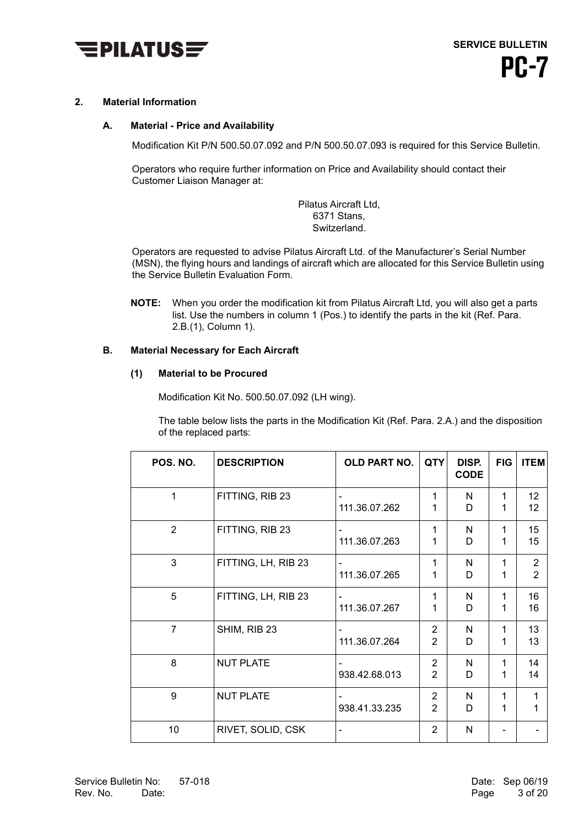

#### **2. Material Information**

#### **A. Material - Price and Availability**

Modification Kit P/N 500.50.07.092 and P/N 500.50.07.093 is required for this Service Bulletin.

Operators who require further information on Price and Availability should contact their Customer Liaison Manager at:

> Pilatus Aircraft Ltd, 6371 Stans, Switzerland.

Operators are requested to advise Pilatus Aircraft Ltd. of the Manufacturer's Serial Number (MSN), the flying hours and landings of aircraft which are allocated for this Service Bulletin using the Service Bulletin Evaluation Form.

**NOTE:** When you order the modification kit from Pilatus Aircraft Ltd, you will also get a parts list. Use the numbers in column 1 (Pos.) to identify the parts in the kit (Ref. Para. 2.B.(1), Column 1).

#### **B. Material Necessary for Each Aircraft**

#### **(1) Material to be Procured**

Modification Kit No. 500.50.07.092 (LH wing).

The table below lists the parts in the Modification Kit (Ref. Para. 2.A.) and the disposition of the replaced parts:

| POS. NO.       | <b>DESCRIPTION</b>  | OLD PART NO.  | <b>QTY</b>                       | DISP.<br><b>CODE</b> | <b>FIG</b> | <b>ITEM</b>                      |
|----------------|---------------------|---------------|----------------------------------|----------------------|------------|----------------------------------|
| 1              | FITTING, RIB 23     | 111.36.07.262 | 1<br>1                           | N<br>D               | 1<br>1     | 12<br>12 <sup>2</sup>            |
| 2              | FITTING, RIB 23     | 111.36.07.263 | 1<br>1                           | N<br>D               | 1<br>1     | 15<br>15                         |
| 3              | FITTING, LH, RIB 23 | 111.36.07.265 | 1<br>1                           | N<br>D               | 1<br>1     | $\overline{2}$<br>$\overline{2}$ |
| 5              | FITTING, LH, RIB 23 | 111.36.07.267 | 1<br>1                           | N<br>D               | 1<br>1     | 16<br>16                         |
| $\overline{7}$ | SHIM, RIB 23        | 111.36.07.264 | $\overline{2}$<br>$\overline{2}$ | N<br>D               | 1<br>1     | 13<br>13                         |
| 8              | <b>NUT PLATE</b>    | 938.42.68.013 | $\overline{2}$<br>$\overline{2}$ | N<br>D               | 1<br>1     | 14<br>14                         |
| 9              | <b>NUT PLATE</b>    | 938.41.33.235 | $\overline{2}$<br>$\overline{2}$ | N<br>D               | 1<br>1     | 1<br>1                           |
| 10             | RIVET, SOLID, CSK   |               | $\overline{2}$                   | N                    |            |                                  |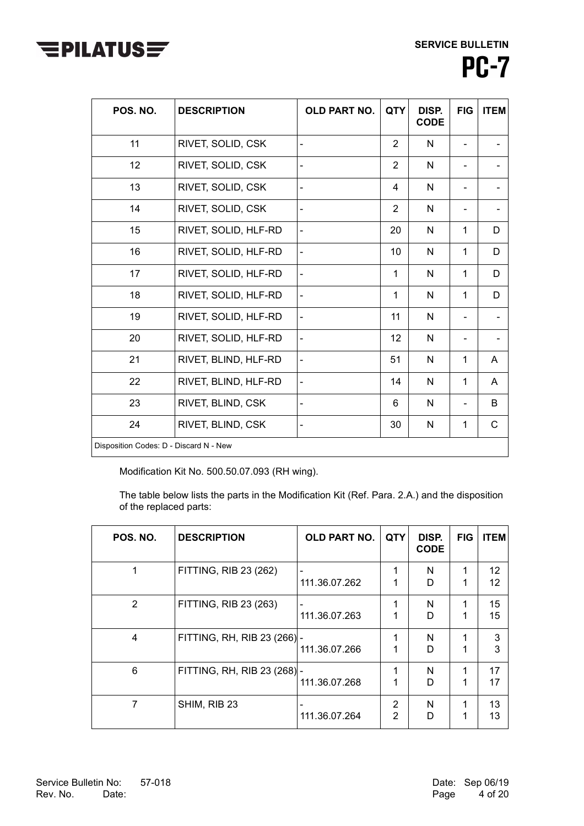# $E$ PILATUS $E$

**SERVICE BULLETIN PC-7** 

| POS. NO.                               | <b>DESCRIPTION</b>   | OLD PART NO. | <b>QTY</b>     | DISP.<br><b>CODE</b> | <b>FIG</b>   | <b>ITEM</b>  |
|----------------------------------------|----------------------|--------------|----------------|----------------------|--------------|--------------|
| 11                                     | RIVET, SOLID, CSK    |              | $\overline{2}$ | N                    |              |              |
| 12                                     | RIVET, SOLID, CSK    | ۰            | $\overline{2}$ | N                    |              |              |
| 13                                     | RIVET, SOLID, CSK    |              | 4              | N                    |              |              |
| 14                                     | RIVET, SOLID, CSK    | -            | $\overline{2}$ | N                    |              |              |
| 15                                     | RIVET, SOLID, HLF-RD |              | 20             | N                    | 1            | D            |
| 16                                     | RIVET, SOLID, HLF-RD | ۰            | 10             | N                    | $\mathbf{1}$ | D            |
| 17                                     | RIVET, SOLID, HLF-RD |              | 1              | N                    | 1            | D            |
| 18                                     | RIVET, SOLID, HLF-RD |              | 1              | N                    | $\mathbf{1}$ | D            |
| 19                                     | RIVET, SOLID, HLF-RD |              | 11             | N                    |              |              |
| 20                                     | RIVET, SOLID, HLF-RD |              | 12             | N                    |              |              |
| 21                                     | RIVET, BLIND, HLF-RD | ÷.           | 51             | N                    | 1            | A            |
| 22                                     | RIVET, BLIND, HLF-RD | -            | 14             | N                    | $\mathbf{1}$ | A            |
| 23                                     | RIVET, BLIND, CSK    | ÷,           | 6              | N                    |              | B            |
| 24                                     | RIVET, BLIND, CSK    |              | 30             | N                    | $\mathbf{1}$ | $\mathsf{C}$ |
| Disposition Codes: D - Discard N - New |                      |              |                |                      |              |              |

Modification Kit No. 500.50.07.093 (RH wing).

The table below lists the parts in the Modification Kit (Ref. Para. 2.A.) and the disposition of the replaced parts:

| POS. NO. | <b>DESCRIPTION</b>          | OLD PART NO.       | <b>QTY</b>          | DISP.<br><b>CODE</b> | <b>FIG</b> | <b>ITEM</b>     |
|----------|-----------------------------|--------------------|---------------------|----------------------|------------|-----------------|
| 1        | FITTING, RIB 23 (262)       | 111.36.07.262      | 1<br>1              | N<br>D               | 1          | 12<br>12        |
| 2        | FITTING, RIB 23 (263)       | ۰<br>111.36.07.263 | 1<br>1              | N<br>D               | 1          | 15<br>15        |
| 4        | FITTING, RH, RIB 23 (266) - | 111.36.07.266      |                     | N<br>D               |            | $\sqrt{3}$<br>3 |
| 6        | FITTING, RH, RIB 23 (268)-  | 111.36.07.268      | 4                   | N<br>D               | 1          | 17<br>17        |
| 7        | SHIM, RIB 23                | 111.36.07.264      | $\overline{2}$<br>2 | N<br>D               |            | 13<br>13        |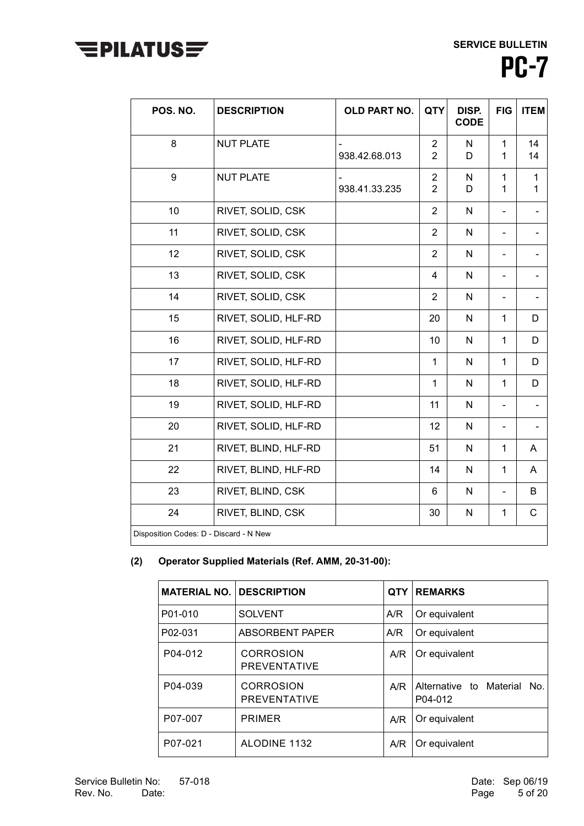## $E$ PILATUS $E$

**SERVICE BULLETIN**



| POS. NO.                               | <b>DESCRIPTION</b>   | OLD PART NO.  | <b>QTY</b>                       | DISP.<br><b>CODE</b> | <b>FIG</b>        | <b>ITEM</b> |
|----------------------------------------|----------------------|---------------|----------------------------------|----------------------|-------------------|-------------|
| 8                                      | <b>NUT PLATE</b>     | 938.42.68.013 | $\overline{2}$<br>$\overline{2}$ | N<br>D               | $\mathbf{1}$<br>1 | 14<br>14    |
| 9                                      | <b>NUT PLATE</b>     | 938.41.33.235 | $\overline{2}$<br>$\overline{2}$ | N<br>D               | 1<br>1            | 1<br>1      |
| 10                                     | RIVET, SOLID, CSK    |               | $\overline{2}$                   | N                    |                   |             |
| 11                                     | RIVET, SOLID, CSK    |               | $\overline{2}$                   | $\mathsf{N}$         | $\blacksquare$    |             |
| 12                                     | RIVET, SOLID, CSK    |               | $\overline{2}$                   | N                    |                   |             |
| 13                                     | RIVET, SOLID, CSK    |               | 4                                | N                    |                   |             |
| 14                                     | RIVET, SOLID, CSK    |               | $\overline{2}$                   | N                    |                   |             |
| 15                                     | RIVET, SOLID, HLF-RD |               | 20                               | N                    | $\mathbf{1}$      | D           |
| 16                                     | RIVET, SOLID, HLF-RD |               | 10                               | N                    | $\mathbf{1}$      | D           |
| 17                                     | RIVET, SOLID, HLF-RD |               | $\mathbf{1}$                     | N                    | $\mathbf{1}$      | D           |
| 18                                     | RIVET, SOLID, HLF-RD |               | $\mathbf{1}$                     | N                    | $\mathbf{1}$      | D           |
| 19                                     | RIVET, SOLID, HLF-RD |               | 11                               | N                    |                   |             |
| 20                                     | RIVET, SOLID, HLF-RD |               | 12                               | N                    |                   |             |
| 21                                     | RIVET, BLIND, HLF-RD |               | 51                               | N                    | $\mathbf{1}$      | A           |
| 22                                     | RIVET, BLIND, HLF-RD |               | 14                               | N                    | $\mathbf{1}$      | A           |
| 23                                     | RIVET, BLIND, CSK    |               | 6                                | N                    |                   | B           |
| 24                                     | RIVET, BLIND, CSK    |               | 30                               | N                    | 1                 | C           |
| Disposition Codes: D - Discard - N New |                      |               |                                  |                      |                   |             |

## **(2) Operator Supplied Materials (Ref. AMM, 20-31-00):**

| <b>MATERIAL NO. IDESCRIPTION</b> |                                         | <b>QTY</b> | <b>REMARKS</b>                           |
|----------------------------------|-----------------------------------------|------------|------------------------------------------|
| P01-010                          | <b>SOLVENT</b>                          | A/R        | Or equivalent                            |
| P02-031                          | ABSORBENT PAPER                         | A/R        | Or equivalent                            |
| P04-012                          | <b>CORROSION</b><br><b>PREVENTATIVE</b> | A/R        | Or equivalent                            |
| P04-039                          | <b>CORROSION</b><br><b>PREVENTATIVE</b> | A/R        | I Alternative to Material No.<br>P04-012 |
| P07-007                          | <b>PRIMER</b>                           | A/R        | Or equivalent                            |
| P07-021                          | <b>ALODINE 1132</b>                     | A/R        | Or equivalent                            |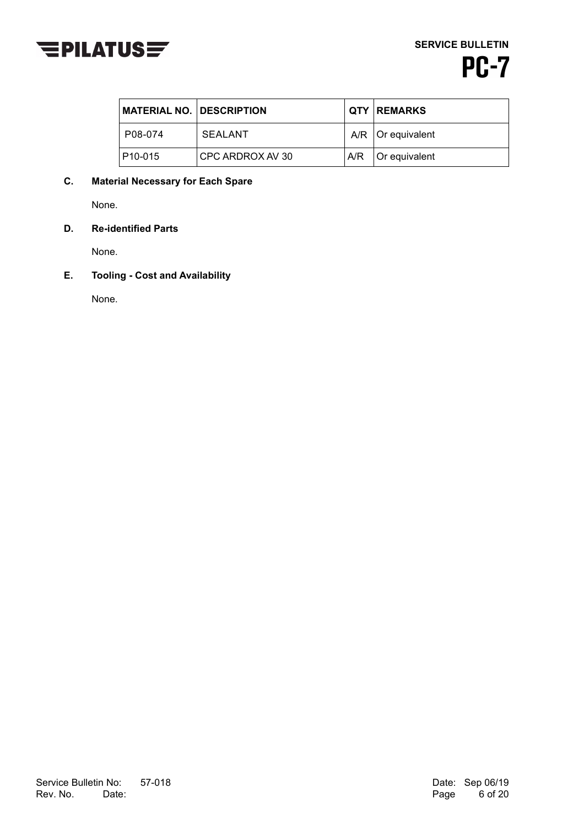

| MATERIAL NO.   DESCRIPTION |                  | <b>QTY REMARKS</b>    |
|----------------------------|------------------|-----------------------|
| P08-074                    | SEALANT          | $A/R$   Or equivalent |
| P <sub>10-015</sub>        | CPC ARDROX AV 30 | $AYR$   Or equivalent |

## **C. Material Necessary for Each Spare**

None.

#### **D. Re-identified Parts**

None.

### **E. Tooling - Cost and Availability**

None.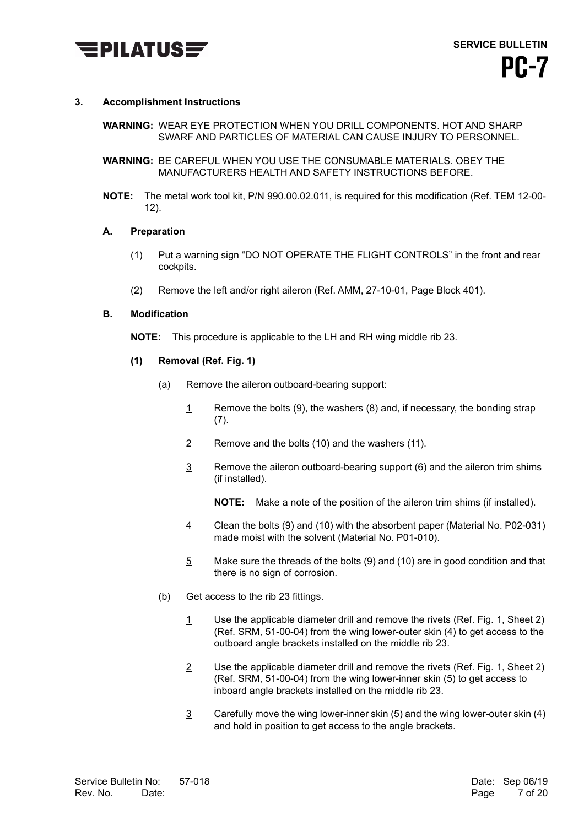

#### **3. Accomplishment Instructions**

**WARNING:** WEAR EYE PROTECTION WHEN YOU DRILL COMPONENTS. HOT AND SHARP SWARF AND PARTICLES OF MATERIAL CAN CAUSE INJURY TO PERSONNEL.

- **WARNING:** BE CAREFUL WHEN YOU USE THE CONSUMABLE MATERIALS. OBEY THE MANUFACTURERS HEALTH AND SAFETY INSTRUCTIONS BEFORE.
- **NOTE:** The metal work tool kit, P/N 990.00.02.011, is required for this modification (Ref. TEM 12-00- 12).

#### **A. Preparation**

- (1) Put a warning sign "DO NOT OPERATE THE FLIGHT CONTROLS" in the front and rear cockpits.
- (2) Remove the left and/or right aileron (Ref. AMM, 27-10-01, Page Block 401).

#### **B. Modification**

**NOTE:** This procedure is applicable to the LH and RH wing middle rib 23.

#### **(1) Removal (Ref. Fig. 1)**

- (a) Remove the aileron outboard-bearing support:
	- 1 Remove the bolts (9), the washers (8) and, if necessary, the bonding strap  $(7).$
	- 2 Remove and the bolts (10) and the washers (11).
	- 3 Remove the aileron outboard-bearing support (6) and the aileron trim shims (if installed).

**NOTE:** Make a note of the position of the aileron trim shims (if installed).

- 4 Clean the bolts (9) and (10) with the absorbent paper (Material No. P02-031) made moist with the solvent (Material No. P01-010).
- 5 Make sure the threads of the bolts (9) and (10) are in good condition and that there is no sign of corrosion.
- (b) Get access to the rib 23 fittings.
	- 1 Use the applicable diameter drill and remove the rivets (Ref. Fig. 1, Sheet 2) (Ref. SRM, 51-00-04) from the wing lower-outer skin (4) to get access to the outboard angle brackets installed on the middle rib 23.
	- 2 Use the applicable diameter drill and remove the rivets (Ref. Fig. 1, Sheet 2) (Ref. SRM, 51-00-04) from the wing lower-inner skin (5) to get access to inboard angle brackets installed on the middle rib 23.
	- 3 Carefully move the wing lower-inner skin (5) and the wing lower-outer skin (4) and hold in position to get access to the angle brackets.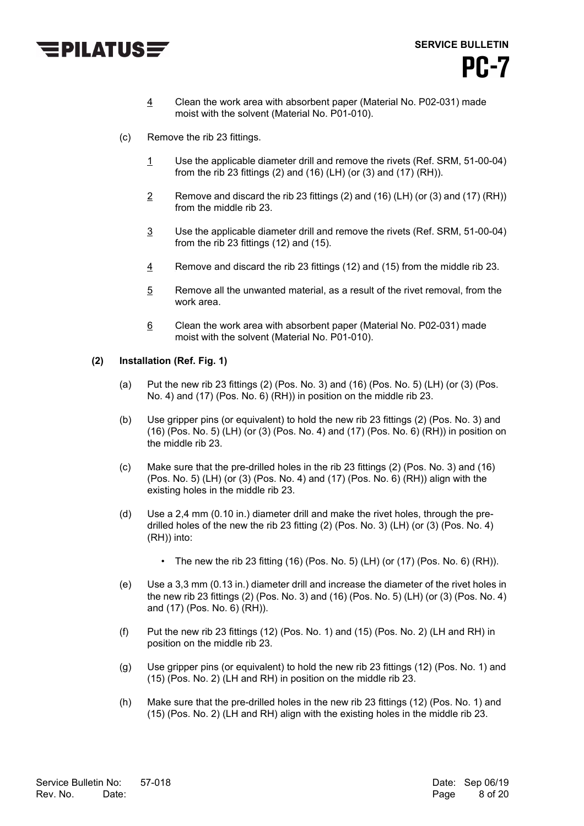

- 4 Clean the work area with absorbent paper (Material No. P02-031) made moist with the solvent (Material No. P01-010).
- (c) Remove the rib 23 fittings.
	- 1 Use the applicable diameter drill and remove the rivets (Ref. SRM, 51-00-04) from the rib 23 fittings (2) and (16) (LH) (or (3) and (17) (RH)).
	- 2 Remove and discard the rib 23 fittings (2) and (16) (LH) (or (3) and (17) (RH)) from the middle rib 23.
	- 3 Use the applicable diameter drill and remove the rivets (Ref. SRM, 51-00-04) from the rib 23 fittings (12) and (15).
	- 4 Remove and discard the rib 23 fittings (12) and (15) from the middle rib 23.
	- 5 Remove all the unwanted material, as a result of the rivet removal, from the work area.
	- 6 Clean the work area with absorbent paper (Material No. P02-031) made moist with the solvent (Material No. P01-010).

#### **(2) Installation (Ref. Fig. 1)**

- (a) Put the new rib 23 fittings (2) (Pos. No. 3) and (16) (Pos. No. 5) (LH) (or (3) (Pos. No. 4) and (17) (Pos. No. 6) (RH)) in position on the middle rib 23.
- (b) Use gripper pins (or equivalent) to hold the new rib 23 fittings (2) (Pos. No. 3) and (16) (Pos. No. 5) (LH) (or (3) (Pos. No. 4) and (17) (Pos. No. 6) (RH)) in position on the middle rib 23.
- (c) Make sure that the pre-drilled holes in the rib 23 fittings (2) (Pos. No. 3) and (16) (Pos. No. 5) (LH) (or (3) (Pos. No. 4) and (17) (Pos. No. 6) (RH)) align with the existing holes in the middle rib 23.
- (d) Use a 2,4 mm (0.10 in.) diameter drill and make the rivet holes, through the predrilled holes of the new the rib 23 fitting (2) (Pos. No. 3) (LH) (or (3) (Pos. No. 4) (RH)) into:
	- The new the rib 23 fitting (16) (Pos. No. 5) (LH) (or (17) (Pos. No. 6) (RH)).
- (e) Use a 3,3 mm (0.13 in.) diameter drill and increase the diameter of the rivet holes in the new rib 23 fittings (2) (Pos. No. 3) and (16) (Pos. No. 5) (LH) (or (3) (Pos. No. 4) and (17) (Pos. No. 6) (RH)).
- (f) Put the new rib 23 fittings (12) (Pos. No. 1) and (15) (Pos. No. 2) (LH and RH) in position on the middle rib 23.
- (g) Use gripper pins (or equivalent) to hold the new rib 23 fittings (12) (Pos. No. 1) and (15) (Pos. No. 2) (LH and RH) in position on the middle rib 23.
- (h) Make sure that the pre-drilled holes in the new rib 23 fittings (12) (Pos. No. 1) and (15) (Pos. No. 2) (LH and RH) align with the existing holes in the middle rib 23.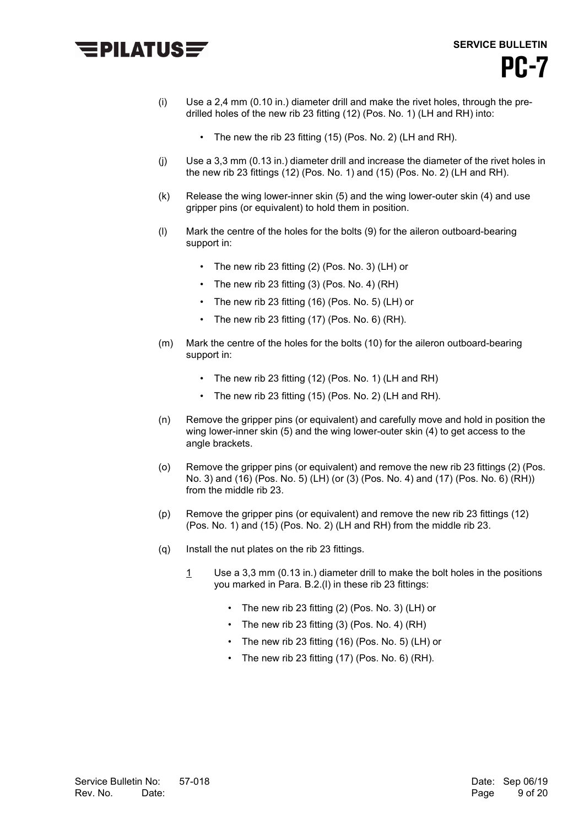## $\equiv$ PILATUS $\equiv$

- (i) Use a 2,4 mm (0.10 in.) diameter drill and make the rivet holes, through the predrilled holes of the new rib 23 fitting (12) (Pos. No. 1) (LH and RH) into:
	- The new the rib 23 fitting (15) (Pos. No. 2) (LH and RH).
- (j) Use a 3,3 mm (0.13 in.) diameter drill and increase the diameter of the rivet holes in the new rib 23 fittings (12) (Pos. No. 1) and (15) (Pos. No. 2) (LH and RH).
- (k) Release the wing lower-inner skin (5) and the wing lower-outer skin (4) and use gripper pins (or equivalent) to hold them in position.
- (l) Mark the centre of the holes for the bolts (9) for the aileron outboard-bearing support in:
	- The new rib 23 fitting (2) (Pos. No. 3) (LH) or
	- The new rib 23 fitting (3) (Pos. No. 4) (RH)
	- The new rib 23 fitting (16) (Pos. No. 5) (LH) or
	- The new rib 23 fitting  $(17)$  (Pos. No. 6) (RH).
- (m) Mark the centre of the holes for the bolts (10) for the aileron outboard-bearing support in:
	- The new rib 23 fitting (12) (Pos. No. 1) (LH and RH)
	- The new rib 23 fitting (15) (Pos. No. 2) (LH and RH).
- (n) Remove the gripper pins (or equivalent) and carefully move and hold in position the wing lower-inner skin (5) and the wing lower-outer skin (4) to get access to the angle brackets.
- (o) Remove the gripper pins (or equivalent) and remove the new rib 23 fittings (2) (Pos. No. 3) and (16) (Pos. No. 5) (LH) (or (3) (Pos. No. 4) and (17) (Pos. No. 6) (RH)) from the middle rib 23.
- (p) Remove the gripper pins (or equivalent) and remove the new rib 23 fittings (12) (Pos. No. 1) and (15) (Pos. No. 2) (LH and RH) from the middle rib 23.
- (q) Install the nut plates on the rib 23 fittings.
	- 1 Use a 3,3 mm (0.13 in.) diameter drill to make the bolt holes in the positions you marked in Para. B.2.(l) in these rib 23 fittings:
		- The new rib 23 fitting (2) (Pos. No. 3) (LH) or
		- The new rib 23 fitting  $(3)$  (Pos. No. 4) (RH)
		- The new rib 23 fitting (16) (Pos. No. 5) (LH) or
		- The new rib 23 fitting  $(17)$  (Pos. No. 6) (RH).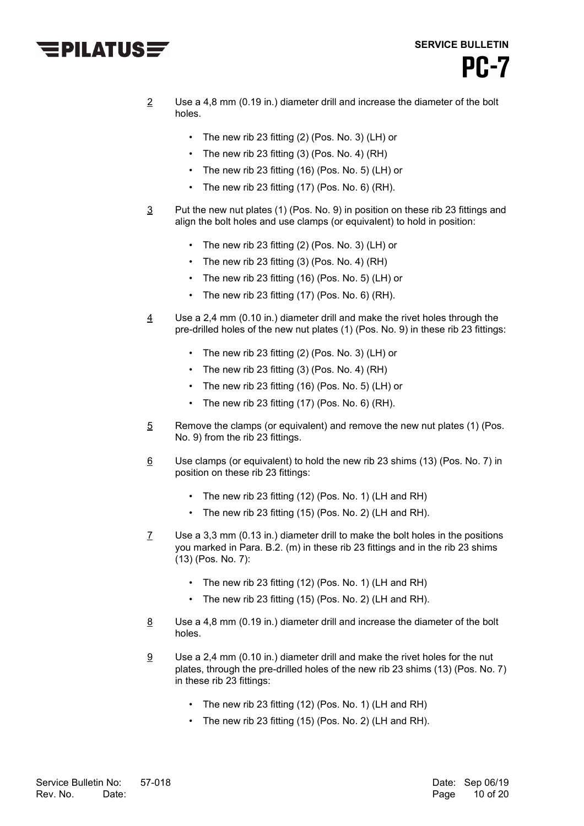# $\equiv$ Pilatus $\equiv$

**PC-7** 

**SERVICE BULLETIN**

- $2$  Use a 4,8 mm (0.19 in.) diameter drill and increase the diameter of the bolt holes.
	- The new rib 23 fitting (2) (Pos. No. 3) (LH) or
	- The new rib 23 fitting (3) (Pos. No. 4) (RH)
	- The new rib 23 fitting (16) (Pos. No. 5) (LH) or
	- The new rib 23 fitting  $(17)$  (Pos. No. 6) (RH).
- 3 Put the new nut plates (1) (Pos. No. 9) in position on these rib 23 fittings and align the bolt holes and use clamps (or equivalent) to hold in position:
	- The new rib 23 fitting (2) (Pos. No. 3) (LH) or
	- The new rib 23 fitting (3) (Pos. No. 4) (RH)
	- The new rib 23 fitting (16) (Pos. No. 5) (LH) or
	- The new rib 23 fitting  $(17)$  (Pos. No. 6) (RH).
- $\frac{4}{1}$  Use a 2,4 mm (0.10 in.) diameter drill and make the rivet holes through the pre-drilled holes of the new nut plates (1) (Pos. No. 9) in these rib 23 fittings:
	- The new rib 23 fitting (2) (Pos. No. 3) (LH) or
	- The new rib 23 fitting  $(3)$  (Pos. No. 4) (RH)
	- The new rib 23 fitting (16) (Pos. No. 5) (LH) or
	- The new rib 23 fitting  $(17)$  (Pos. No. 6) (RH).
- 5 Remove the clamps (or equivalent) and remove the new nut plates (1) (Pos. No. 9) from the rib 23 fittings.
- 6 Use clamps (or equivalent) to hold the new rib 23 shims (13) (Pos. No. 7) in position on these rib 23 fittings:
	- The new rib 23 fitting (12) (Pos. No. 1) (LH and RH)
	- The new rib 23 fitting (15) (Pos. No. 2) (LH and RH).
- $\overline{7}$  Use a 3,3 mm (0.13 in.) diameter drill to make the bolt holes in the positions you marked in Para. B.2. (m) in these rib 23 fittings and in the rib 23 shims (13) (Pos. No. 7):
	- The new rib 23 fitting (12) (Pos. No. 1) (LH and RH)
	- The new rib 23 fitting (15) (Pos. No. 2) (LH and RH).
- 8 Use a 4,8 mm (0.19 in.) diameter drill and increase the diameter of the bolt holes.
- 9 Use a 2,4 mm (0.10 in.) diameter drill and make the rivet holes for the nut plates, through the pre-drilled holes of the new rib 23 shims (13) (Pos. No. 7) in these rib 23 fittings:
	- The new rib 23 fitting (12) (Pos. No. 1) (LH and RH)
	- The new rib 23 fitting (15) (Pos. No. 2) (LH and RH).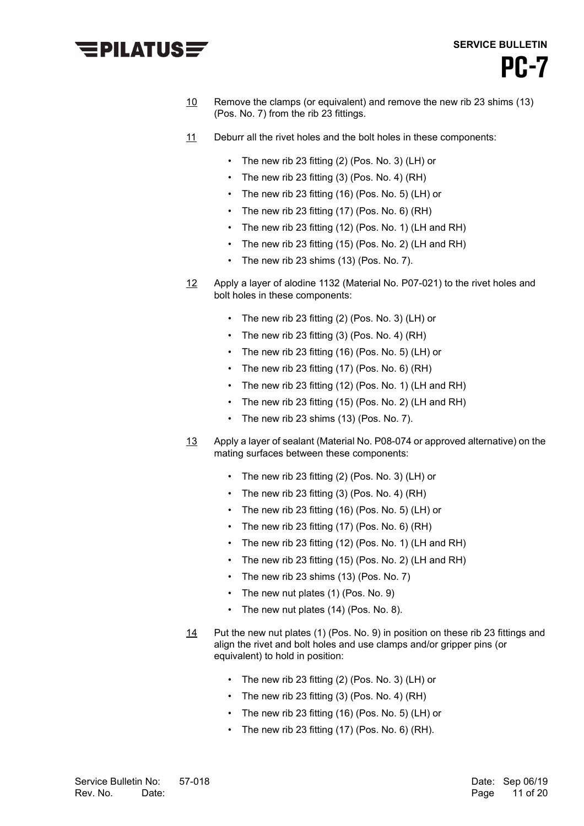## $\equiv$ PILATUS $\equiv$

- **SERVICE BULLETIN PC-7**
- 10 Remove the clamps (or equivalent) and remove the new rib 23 shims (13) (Pos. No. 7) from the rib 23 fittings.
- 11 Deburr all the rivet holes and the bolt holes in these components:
	- The new rib 23 fitting (2) (Pos. No. 3) (LH) or
	- The new rib 23 fitting (3) (Pos. No. 4) (RH)
	- The new rib 23 fitting (16) (Pos. No. 5) (LH) or
	- The new rib 23 fitting (17) (Pos. No. 6) (RH)
	- The new rib 23 fitting (12) (Pos. No. 1) (LH and RH)
	- The new rib 23 fitting (15) (Pos. No. 2) (LH and RH)
	- The new rib 23 shims (13) (Pos. No. 7).
- 12 Apply a layer of alodine 1132 (Material No. P07-021) to the rivet holes and bolt holes in these components:
	- The new rib 23 fitting (2) (Pos. No. 3) (LH) or
	- The new rib 23 fitting  $(3)$  (Pos. No. 4) (RH)
	- The new rib 23 fitting (16) (Pos. No. 5) (LH) or
	- The new rib 23 fitting  $(17)$  (Pos. No. 6) (RH)
	- The new rib 23 fitting (12) (Pos. No. 1) (LH and RH)
	- The new rib 23 fitting (15) (Pos. No. 2) (LH and RH)
	- The new rib 23 shims (13) (Pos. No. 7).
- 13 Apply a layer of sealant (Material No. P08-074 or approved alternative) on the mating surfaces between these components:
	- The new rib 23 fitting (2) (Pos. No. 3) (LH) or
	- The new rib 23 fitting  $(3)$  (Pos. No. 4) (RH)
	- The new rib 23 fitting (16) (Pos. No. 5) (LH) or
	- The new rib 23 fitting  $(17)$  (Pos. No. 6) (RH)
	- The new rib 23 fitting (12) (Pos. No. 1) (LH and RH)
	- The new rib 23 fitting (15) (Pos. No. 2) (LH and RH)
	- The new rib 23 shims (13) (Pos. No. 7)
	- The new nut plates (1) (Pos. No. 9)
	- The new nut plates (14) (Pos. No. 8).
- 14 Put the new nut plates (1) (Pos. No. 9) in position on these rib 23 fittings and align the rivet and bolt holes and use clamps and/or gripper pins (or equivalent) to hold in position:
	- The new rib 23 fitting (2) (Pos. No. 3) (LH) or
	- The new rib 23 fitting (3) (Pos. No. 4) (RH)
	- The new rib 23 fitting (16) (Pos. No. 5) (LH) or
	- The new rib 23 fitting  $(17)$  (Pos. No. 6) (RH).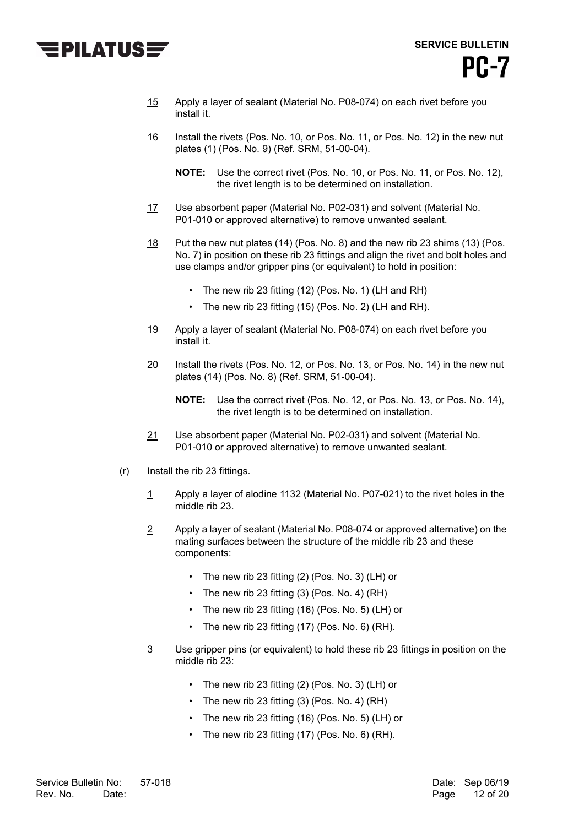# $\equiv$ PILATUS $\equiv$

- 15 Apply a layer of sealant (Material No. P08-074) on each rivet before you install it.
- 16 Install the rivets (Pos. No. 10, or Pos. No. 11, or Pos. No. 12) in the new nut plates (1) (Pos. No. 9) (Ref. SRM, 51-00-04).
	- **NOTE:** Use the correct rivet (Pos. No. 10, or Pos. No. 11, or Pos. No. 12), the rivet length is to be determined on installation.
- 17 Use absorbent paper (Material No. P02-031) and solvent (Material No. P01-010 or approved alternative) to remove unwanted sealant.
- 18 Put the new nut plates (14) (Pos. No. 8) and the new rib 23 shims (13) (Pos. No. 7) in position on these rib 23 fittings and align the rivet and bolt holes and use clamps and/or gripper pins (or equivalent) to hold in position:
	- The new rib 23 fitting (12) (Pos. No. 1) (LH and RH)
	- The new rib 23 fitting (15) (Pos. No. 2) (LH and RH).
- 19 Apply a layer of sealant (Material No. P08-074) on each rivet before you install it.
- 20 Install the rivets (Pos. No. 12, or Pos. No. 13, or Pos. No. 14) in the new nut plates (14) (Pos. No. 8) (Ref. SRM, 51-00-04).
	- **NOTE:** Use the correct rivet (Pos. No. 12, or Pos. No. 13, or Pos. No. 14), the rivet length is to be determined on installation.
- 21 Use absorbent paper (Material No. P02-031) and solvent (Material No. P01-010 or approved alternative) to remove unwanted sealant.
- (r) Install the rib 23 fittings.
	- 1 Apply a layer of alodine 1132 (Material No. P07-021) to the rivet holes in the middle rib 23.
	- 2 Apply a layer of sealant (Material No. P08-074 or approved alternative) on the mating surfaces between the structure of the middle rib 23 and these components:
		- The new rib 23 fitting (2) (Pos. No. 3) (LH) or
		- The new rib 23 fitting (3) (Pos. No. 4) (RH)
		- The new rib 23 fitting (16) (Pos. No. 5) (LH) or
		- The new rib 23 fitting  $(17)$  (Pos. No. 6) (RH).
	- 3 Use gripper pins (or equivalent) to hold these rib 23 fittings in position on the middle rib 23:
		- The new rib 23 fitting (2) (Pos. No. 3) (LH) or
		- The new rib 23 fitting (3) (Pos. No. 4) (RH)
		- The new rib 23 fitting (16) (Pos. No. 5) (LH) or
		- The new rib 23 fitting  $(17)$  (Pos. No. 6) (RH).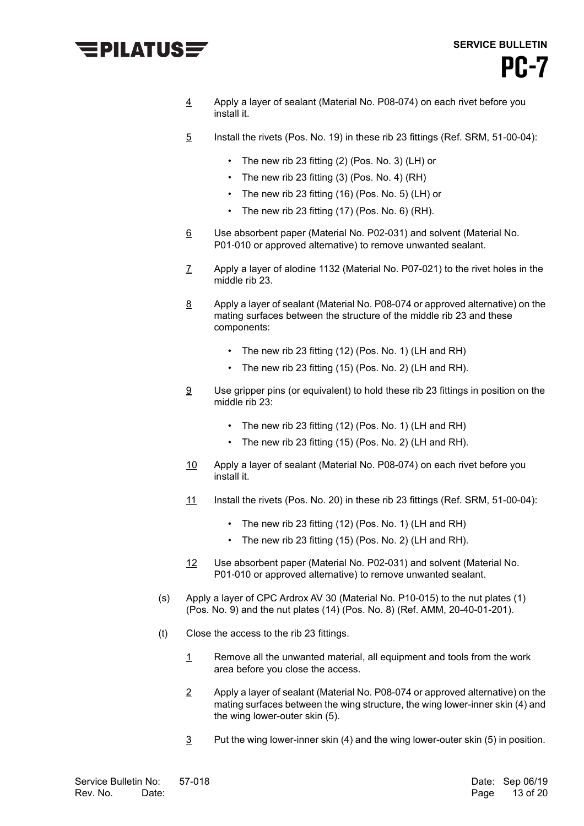

- 4 Apply a layer of sealant (Material No. P08-074) on each rivet before you install it.
- 5 Install the rivets (Pos. No. 19) in these rib 23 fittings (Ref. SRM, 51-00-04):
	- The new rib 23 fitting (2) (Pos. No. 3) (LH) or
	- The new rib 23 fitting (3) (Pos. No. 4) (RH)
	- The new rib 23 fitting (16) (Pos. No. 5) (LH) or
	- The new rib 23 fitting  $(17)$  (Pos. No. 6)  $(RH)$ .
- 6 Use absorbent paper (Material No. P02-031) and solvent (Material No. P01-010 or approved alternative) to remove unwanted sealant.
- 7 Apply a layer of alodine 1132 (Material No. P07-021) to the rivet holes in the middle rib 23.
- 8 Apply a layer of sealant (Material No. P08-074 or approved alternative) on the mating surfaces between the structure of the middle rib 23 and these components:
	- The new rib 23 fitting (12) (Pos. No. 1) (LH and RH)
	- The new rib 23 fitting (15) (Pos. No. 2) (LH and RH).
- 9 Use gripper pins (or equivalent) to hold these rib 23 fittings in position on the middle rib 23:
	- The new rib 23 fitting (12) (Pos. No. 1) (LH and RH)
	- The new rib 23 fitting (15) (Pos. No. 2) (LH and RH).
- 10 Apply a layer of sealant (Material No. P08-074) on each rivet before you install it.
- 11 Install the rivets (Pos. No. 20) in these rib 23 fittings (Ref. SRM, 51-00-04):
	- The new rib 23 fitting (12) (Pos. No. 1) (LH and RH)
	- The new rib 23 fitting (15) (Pos. No. 2) (LH and RH).
- 12 Use absorbent paper (Material No. P02-031) and solvent (Material No. P01-010 or approved alternative) to remove unwanted sealant.
- (s) Apply a layer of CPC Ardrox AV 30 (Material No. P10-015) to the nut plates (1) (Pos. No. 9) and the nut plates (14) (Pos. No. 8) (Ref. AMM, 20-40-01-201).
- (t) Close the access to the rib 23 fittings.
	- 1 Remove all the unwanted material, all equipment and tools from the work area before you close the access.
	- 2 Apply a layer of sealant (Material No. P08-074 or approved alternative) on the mating surfaces between the wing structure, the wing lower-inner skin (4) and the wing lower-outer skin (5).
	- 3 Put the wing lower-inner skin (4) and the wing lower-outer skin (5) in position.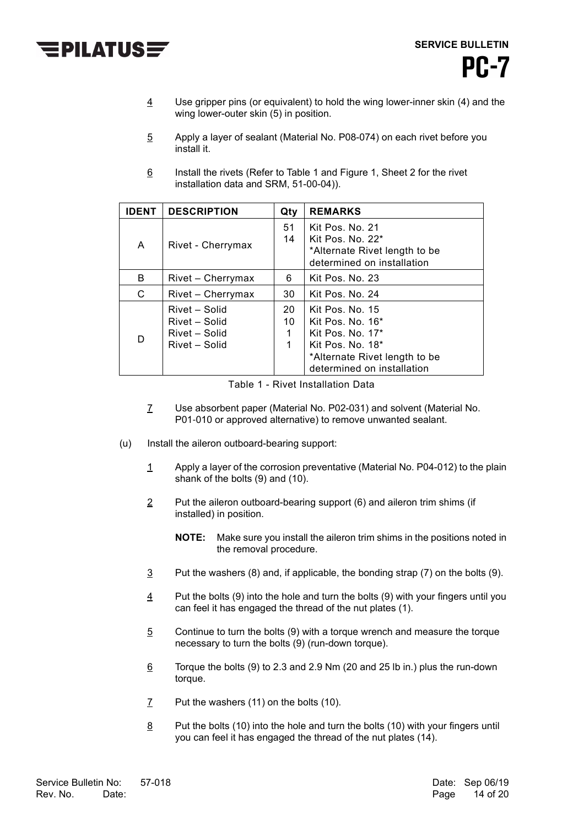

- $\frac{4}{1}$  Use gripper pins (or equivalent) to hold the wing lower-inner skin (4) and the wing lower-outer skin (5) in position.
- 5 Apply a layer of sealant (Material No. P08-074) on each rivet before you install it.
- 6 Install the rivets (Refer to Table 1 and Figure 1, Sheet 2 for the rivet installation data and SRM, 51-00-04)).

| <b>IDENT</b> | <b>DESCRIPTION</b>                                               | Qty                | <b>REMARKS</b>                                                                                                                                              |
|--------------|------------------------------------------------------------------|--------------------|-------------------------------------------------------------------------------------------------------------------------------------------------------------|
| A            | Rivet - Cherrymax                                                | 51<br>14           | Kit Pos. No. 21<br>Kit Pos. No. 22*<br>*Alternate Rivet length to be<br>determined on installation                                                          |
| B            | Rivet - Cherrymax                                                | 6                  | Kit Pos. No. 23                                                                                                                                             |
| С            | Rivet – Cherrymax                                                | 30                 | Kit Pos. No. 24                                                                                                                                             |
| D            | Rivet - Solid<br>Rivet - Solid<br>Rivet - Solid<br>Rivet - Solid | 20<br>10<br>1<br>1 | Kit Pos. No. 15<br>Kit Pos. No. $16*$<br>Kit Pos, No. $17^*$<br>Kit Pos. No. 18 <sup>*</sup><br>*Alternate Rivet length to be<br>determined on installation |

Table 1 - Rivet Installation Data

- 7 Use absorbent paper (Material No. P02-031) and solvent (Material No. P01-010 or approved alternative) to remove unwanted sealant.
- (u) Install the aileron outboard-bearing support:
	- 1 Apply a layer of the corrosion preventative (Material No. P04-012) to the plain shank of the bolts (9) and (10).
	- 2 Put the aileron outboard-bearing support (6) and aileron trim shims (if installed) in position.
		- **NOTE:** Make sure you install the aileron trim shims in the positions noted in the removal procedure.
	- 3 Put the washers (8) and, if applicable, the bonding strap (7) on the bolts (9).
	- 4 Put the bolts (9) into the hole and turn the bolts (9) with your fingers until you can feel it has engaged the thread of the nut plates (1).
	- 5 Continue to turn the bolts (9) with a torque wrench and measure the torque necessary to turn the bolts (9) (run-down torque).
	- 6 Torque the bolts (9) to 2.3 and 2.9 Nm (20 and 25 lb in.) plus the run-down torque.
	- 7 Put the washers (11) on the bolts (10).
	- $8$  Put the bolts (10) into the hole and turn the bolts (10) with your fingers until you can feel it has engaged the thread of the nut plates (14).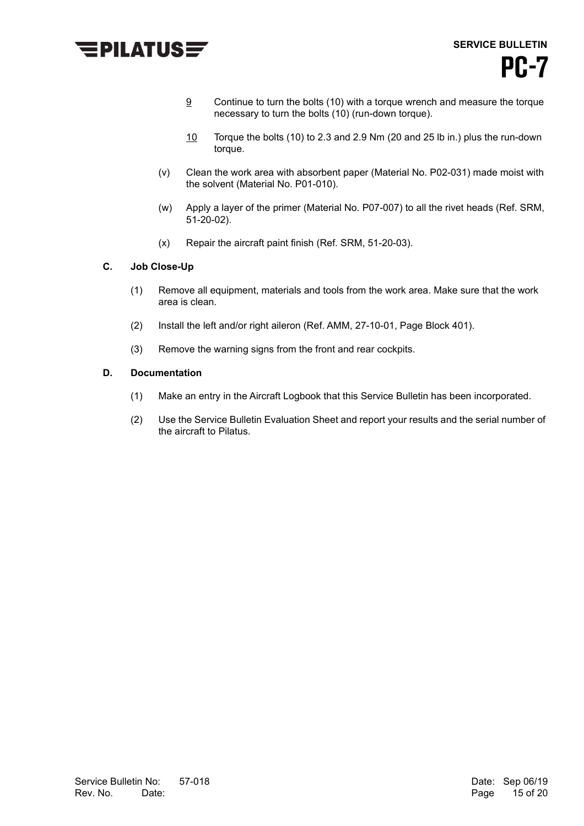

- 9 Continue to turn the bolts (10) with a torque wrench and measure the torque necessary to turn the bolts (10) (run-down torque).
- 10 Torque the bolts (10) to 2.3 and 2.9 Nm (20 and 25 lb in.) plus the run-down torque.
- (v) Clean the work area with absorbent paper (Material No. P02-031) made moist with the solvent (Material No. P01-010).
- (w) Apply a layer of the primer (Material No. P07-007) to all the rivet heads (Ref. SRM, 51-20-02).
- (x) Repair the aircraft paint finish (Ref. SRM, 51-20-03).

#### **C. Job Close-Up**

- (1) Remove all equipment, materials and tools from the work area. Make sure that the work area is clean.
- (2) Install the left and/or right aileron (Ref. AMM, 27-10-01, Page Block 401).
- (3) Remove the warning signs from the front and rear cockpits.

#### **D. Documentation**

- (1) Make an entry in the Aircraft Logbook that this Service Bulletin has been incorporated.
- (2) Use the Service Bulletin Evaluation Sheet and report your results and the serial number of the aircraft to Pilatus.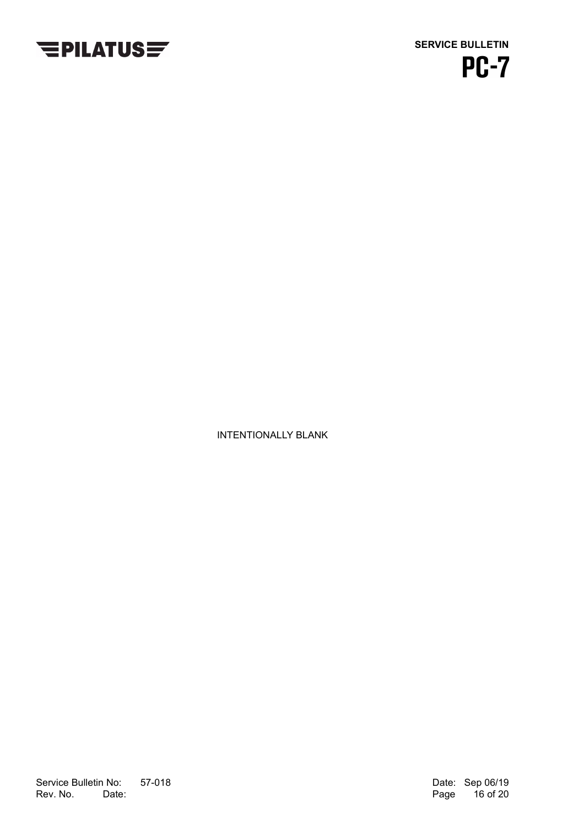



INTENTIONALLY BLANK

Service Bulletin No: 57-018<br>
Rev. No. Date: Sep 06/19<br>
Rev. No. Date: 20 Rev. No. Date: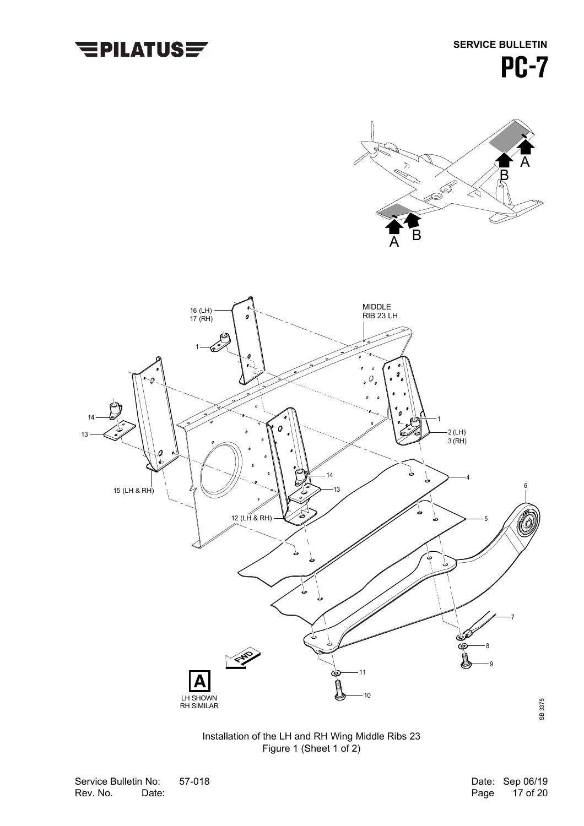

**SERVICE BULLETIN PC-7** 





Installation of the LH and RH Wing Middle Ribs 23 Figure 1 (Sheet 1 of 2)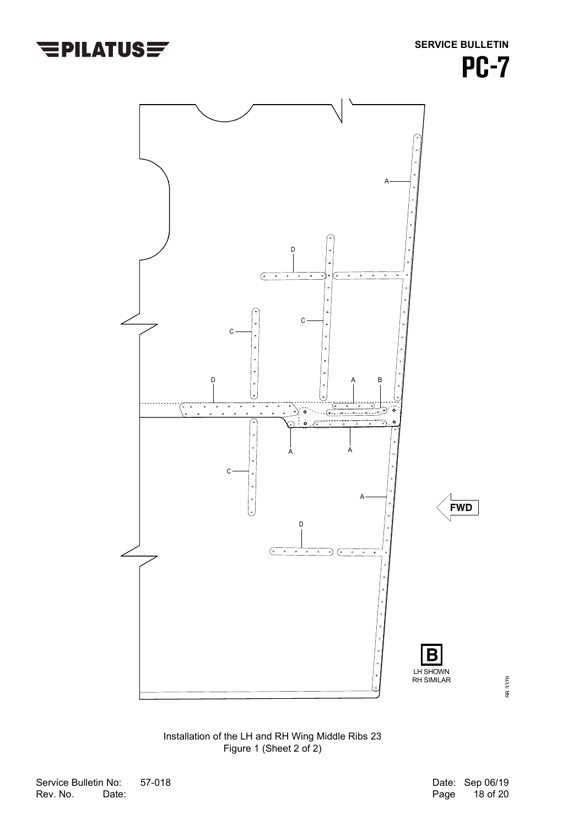

**SERVICE BULLETIN PC-7** 



Installation of the LH and RH Wing Middle Ribs 23 Figure 1 (Sheet 2 of 2)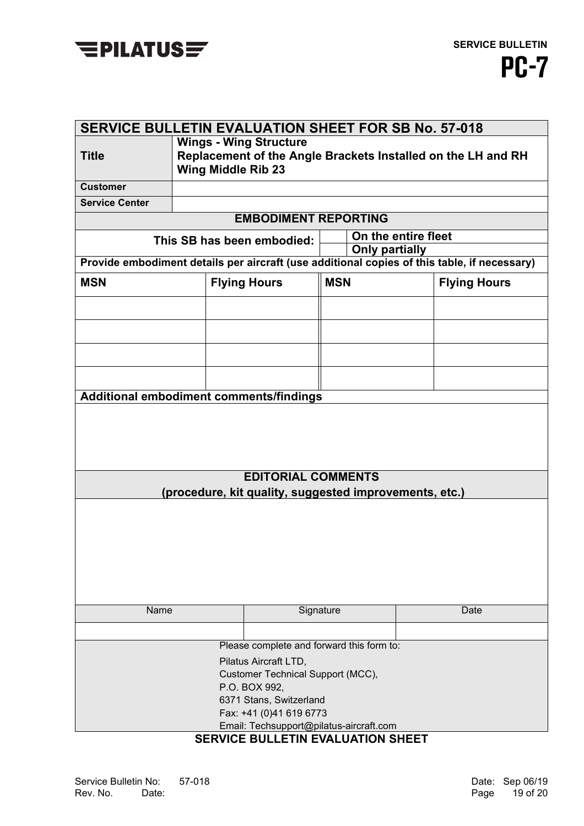

| <b>SERVICE BULLETIN EVALUATION SHEET FOR SB No. 57-018</b> |                                                                                                                            |                                                        |            |                       |  |                                                                                             |
|------------------------------------------------------------|----------------------------------------------------------------------------------------------------------------------------|--------------------------------------------------------|------------|-----------------------|--|---------------------------------------------------------------------------------------------|
| <b>Title</b>                                               | <b>Wings - Wing Structure</b><br>Replacement of the Angle Brackets Installed on the LH and RH<br><b>Wing Middle Rib 23</b> |                                                        |            |                       |  |                                                                                             |
| <b>Customer</b>                                            |                                                                                                                            |                                                        |            |                       |  |                                                                                             |
| <b>Service Center</b>                                      |                                                                                                                            |                                                        |            |                       |  |                                                                                             |
|                                                            |                                                                                                                            | <b>EMBODIMENT REPORTING</b>                            |            |                       |  |                                                                                             |
|                                                            | This SB has been embodied:                                                                                                 |                                                        |            | On the entire fleet   |  |                                                                                             |
|                                                            |                                                                                                                            |                                                        |            | <b>Only partially</b> |  | Provide embodiment details per aircraft (use additional copies of this table, if necessary) |
|                                                            |                                                                                                                            |                                                        |            |                       |  |                                                                                             |
| <b>MSN</b>                                                 |                                                                                                                            | <b>Flying Hours</b>                                    | <b>MSN</b> |                       |  | <b>Flying Hours</b>                                                                         |
|                                                            |                                                                                                                            |                                                        |            |                       |  |                                                                                             |
|                                                            |                                                                                                                            |                                                        |            |                       |  |                                                                                             |
|                                                            |                                                                                                                            |                                                        |            |                       |  |                                                                                             |
|                                                            |                                                                                                                            |                                                        |            |                       |  |                                                                                             |
| Additional embodiment comments/findings                    |                                                                                                                            |                                                        |            |                       |  |                                                                                             |
|                                                            |                                                                                                                            |                                                        |            |                       |  |                                                                                             |
|                                                            |                                                                                                                            | <b>EDITORIAL COMMENTS</b>                              |            |                       |  |                                                                                             |
|                                                            |                                                                                                                            | (procedure, kit quality, suggested improvements, etc.) |            |                       |  |                                                                                             |
|                                                            |                                                                                                                            |                                                        |            |                       |  |                                                                                             |
| Signature<br>Name<br>Date                                  |                                                                                                                            |                                                        |            |                       |  |                                                                                             |
|                                                            |                                                                                                                            |                                                        |            |                       |  |                                                                                             |
| Please complete and forward this form to:                  |                                                                                                                            |                                                        |            |                       |  |                                                                                             |
| Pilatus Aircraft LTD,                                      |                                                                                                                            |                                                        |            |                       |  |                                                                                             |
| Customer Technical Support (MCC),<br>P.O. BOX 992,         |                                                                                                                            |                                                        |            |                       |  |                                                                                             |
| 6371 Stans, Switzerland                                    |                                                                                                                            |                                                        |            |                       |  |                                                                                             |
| Fax: +41 (0)41 619 6773                                    |                                                                                                                            |                                                        |            |                       |  |                                                                                             |
| Email: Techsupport@pilatus-aircraft.com                    |                                                                                                                            |                                                        |            |                       |  |                                                                                             |

## **SERVICE BULLETIN EVALUATION SHEET**